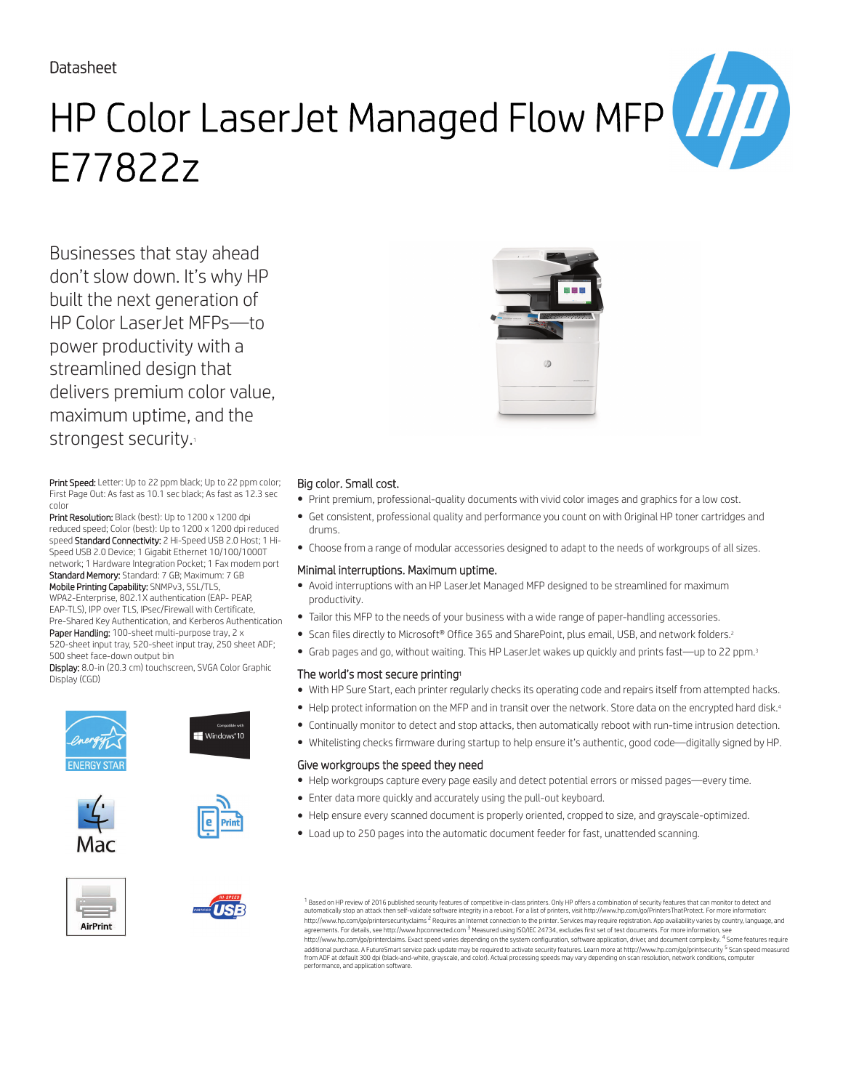## Datasheet

# HP Color LaserJet Managed Flow MFP E77822z

Businesses that stay ahead don't slow down. It's why HP built the next generation of HP Color LaserJet MFPs—to power productivity with a streamlined design that delivers premium color value, maximum uptime, and the strongest security.

Print Speed: Letter: Up to 22 ppm black; Up to 22 ppm color; First Page Out: As fast as 10.1 sec black; As fast as 12.3 sec color

Print Resolution: Black (best): Up to 1200 x 1200 dpi reduced speed; Color (best): Up to 1200 x 1200 dpi reduced speed Standard Connectivity: 2 Hi-Speed USB 2.0 Host; 1 Hi-Speed USB 2.0 Device; 1 Gigabit Ethernet 10/100/1000T network; 1 Hardware Integration Pocket; 1 Fax modem port Standard Memory: Standard: 7 GB; Maximum: 7 GB Mobile Printing Capability: SNMPv3, SSL/TLS, WPA2-Enterprise, 802.1X authentication (EAP- PEAP,

EAP-TLS), IPP over TLS, IPsec/Firewall with Certificate, Pre-Shared Key Authentication, and Kerberos Authentication Paper Handling: 100-sheet multi-purpose tray, 2 x 520-sheet input tray, 520-sheet input tray, 250 sheet ADF;

500 sheet face-down output bin Display: 8.0-in (20.3 cm) touchscreen, SVGA Color Graphic

Display (CGD)













### Big color. Small cost.

- Print premium, professional-quality documents with vivid color images and graphics for a low cost.
- Get consistent, professional quality and performance you count on with Original HP toner cartridges and drums.
- Choose from a range of modular accessories designed to adapt to the needs of workgroups of all sizes.

#### Minimal interruptions. Maximum uptime.

- Avoid interruptions with an HP LaserJet Managed MFP designed to be streamlined for maximum productivity.
- Tailor this MFP to the needs of your business with a wide range of paper-handling accessories.
- Scan files directly to Microsoft® Office 365 and SharePoint, plus email, USB, and network folders.<sup>2</sup>
- Grab pages and go, without waiting. This HP LaserJet wakes up quickly and prints fast—up to 22 ppm.<sup>3</sup>

#### The world's most secure printing<sup>1</sup>

- With HP Sure Start, each printer regularly checks its operating code and repairs itself from attempted hacks.
- Help protect information on the MFP and in transit over the network. Store data on the encrypted hard disk.<sup>4</sup>
- Continually monitor to detect and stop attacks, then automatically reboot with run-time intrusion detection.
- Whitelisting checks firmware during startup to help ensure it's authentic, good code—digitally signed by HP.

#### Give workgroups the speed they need

- Help workgroups capture every page easily and detect potential errors or missed pages—every time.
- Enter data more quickly and accurately using the pull-out keyboard.
- Help ensure every scanned document is properly oriented, cropped to size, and grayscale-optimized.
- Load up to 250 pages into the automatic document feeder for fast, unattended scanning.

 $^{\rm 1}$  Based on HP review of 2016 published security features of competitive in-class printers. Only HP offers a combination of security features that can monitor to detect and automatically stop an attack then self-validate software integrity in a reboot. For a list of printers, visit http://www.hp.com/go/PrintersThatProtect. For more information:<br>http://www.hp.com/go/printersecurityclaims <sup>2</sup> R agreements. For details, see http://www.hpconnected.com <sup>3</sup> Measured using ISO/IEC 24734, excludes first set of test documents. For more information, see http://www.hp.com/go/printerclaims. Exact speed varies depending on the system configuration, software application, driver, and document complexity. <sup>4</sup> Some features require<br>additional purchase. A FutureSmart service pack from ADF at default 300 dpi (black-and-white, grayscale, and color). Actual processing speeds may vary depending on scan resolution, network conditions, computer performance, and application software.